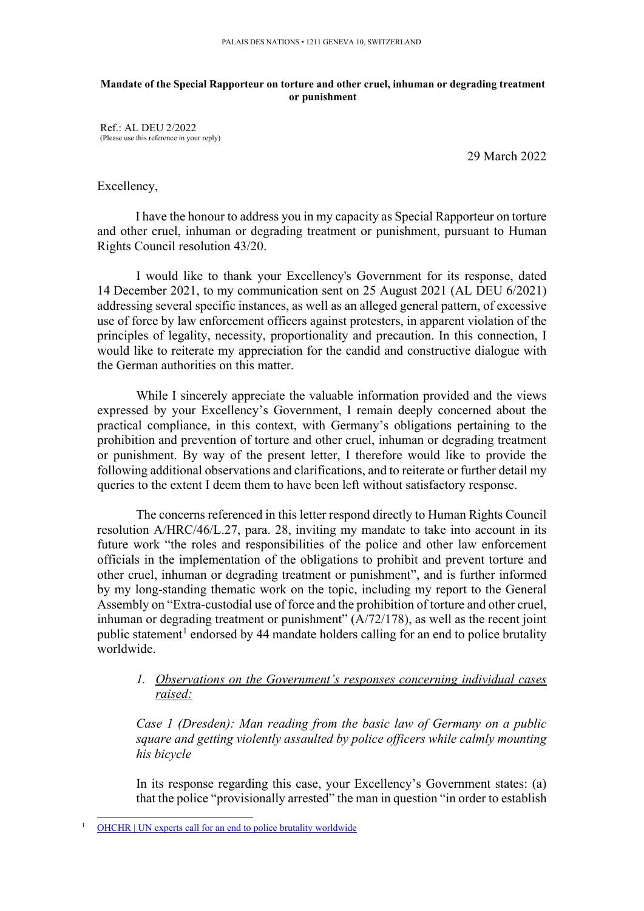#### **Mandate of the Special Rapporteur on torture and other cruel, inhuman or degrading treatment or punishment**

Ref.: AL DEU 2/2022 (Please use this reference in your reply)

29 March 2022

### Excellency,

I have the honour to address you in my capacity as Special Rapporteur on torture and other cruel, inhuman or degrading treatment or punishment, pursuant to Human Rights Council resolution 43/20.

I would like to thank your Excellency's Government for its response, dated 14 December 2021, to my communication sent on 25 August 2021 (AL DEU 6/2021) addressing several specific instances, as well as an alleged general pattern, of excessive use of force by law enforcement officers against protesters, in apparent violation of the principles of legality, necessity, proportionality and precaution. In this connection, I would like to reiterate my appreciation for the candid and constructive dialogue with the German authorities on this matter.

While I sincerely appreciate the valuable information provided and the views expressed by your Excellency's Government, I remain deeply concerned about the practical compliance, in this context, with Germany's obligations pertaining to the prohibition and prevention of torture and other cruel, inhuman or degrading treatment or punishment. By way of the present letter, I therefore would like to provide the following additional observations and clarifications, and to reiterate or further detail my queries to the extent I deem them to have been left without satisfactory response.

The concerns referenced in this letter respond directly to Human Rights Council resolution A/HRC/46/L.27, para. 28, inviting my mandate to take into account in its future work "the roles and responsibilities of the police and other law enforcement officials in the implementation of the obligations to prohibit and prevent torture and other cruel, inhuman or degrading treatment or punishment", and is further informed by my long-standing thematic work on the topic, including my report to the General Assembly on "Extra-custodial use of force and the prohibition of torture and other cruel, inhuman or degrading treatment or punishment"  $(A/72/178)$ , as well as the recent joint public statement<sup>[1](#page-0-0)</sup> endorsed by 44 mandate holders calling for an end to police brutality worldwide.

# *1. Observations on the Government's responses concerning individual cases raised:*

*Case 1 (Dresden): Man reading from the basic law of Germany on a public square and getting violently assaulted by police officers while calmly mounting his bicycle*

In its response regarding this case, your Excellency's Government states: (a) that the police "provisionally arrested" the man in question "in order to establish

<span id="page-0-0"></span><sup>1</sup> [OHCHR | UN experts call for an end to police brutality worldwide](https://www.ohchr.org/EN/NewsEvents/Pages/DisplayNews.aspx?NewsID=27376)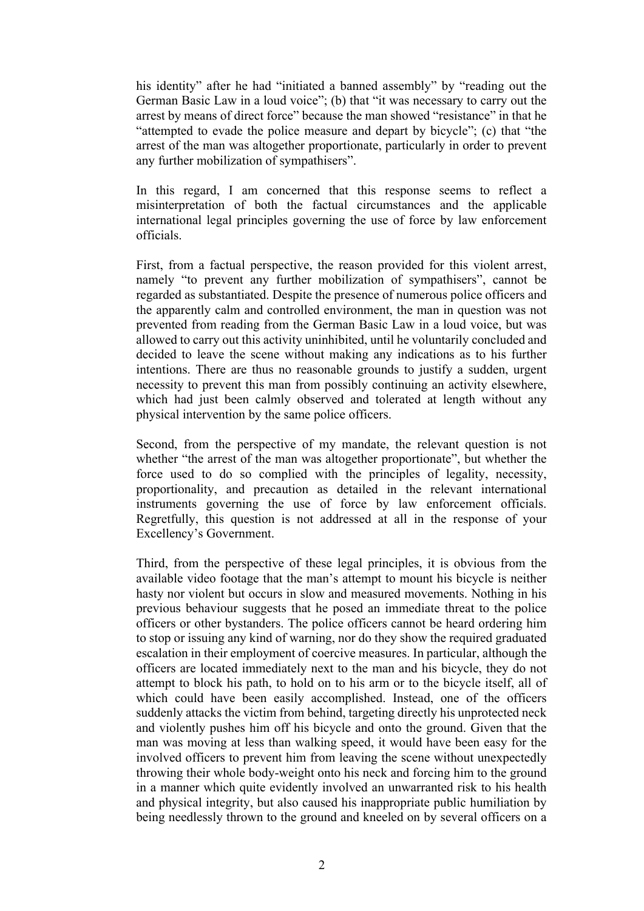his identity" after he had "initiated a banned assembly" by "reading out the German Basic Law in a loud voice"; (b) that "it was necessary to carry out the arrest by means of direct force" because the man showed "resistance" in that he "attempted to evade the police measure and depart by bicycle"; (c) that "the arrest of the man was altogether proportionate, particularly in order to prevent any further mobilization of sympathisers".

In this regard, I am concerned that this response seems to reflect a misinterpretation of both the factual circumstances and the applicable international legal principles governing the use of force by law enforcement officials.

First, from a factual perspective, the reason provided for this violent arrest, namely "to prevent any further mobilization of sympathisers", cannot be regarded as substantiated. Despite the presence of numerous police officers and the apparently calm and controlled environment, the man in question was not prevented from reading from the German Basic Law in a loud voice, but was allowed to carry out this activity uninhibited, until he voluntarily concluded and decided to leave the scene without making any indications as to his further intentions. There are thus no reasonable grounds to justify a sudden, urgent necessity to prevent this man from possibly continuing an activity elsewhere, which had just been calmly observed and tolerated at length without any physical intervention by the same police officers.

Second, from the perspective of my mandate, the relevant question is not whether "the arrest of the man was altogether proportionate", but whether the force used to do so complied with the principles of legality, necessity, proportionality, and precaution as detailed in the relevant international instruments governing the use of force by law enforcement officials. Regretfully, this question is not addressed at all in the response of your Excellency's Government.

Third, from the perspective of these legal principles, it is obvious from the available video footage that the man's attempt to mount his bicycle is neither hasty nor violent but occurs in slow and measured movements. Nothing in his previous behaviour suggests that he posed an immediate threat to the police officers or other bystanders. The police officers cannot be heard ordering him to stop or issuing any kind of warning, nor do they show the required graduated escalation in their employment of coercive measures. In particular, although the officers are located immediately next to the man and his bicycle, they do not attempt to block his path, to hold on to his arm or to the bicycle itself, all of which could have been easily accomplished. Instead, one of the officers suddenly attacks the victim from behind, targeting directly his unprotected neck and violently pushes him off his bicycle and onto the ground. Given that the man was moving at less than walking speed, it would have been easy for the involved officers to prevent him from leaving the scene without unexpectedly throwing their whole body-weight onto his neck and forcing him to the ground in a manner which quite evidently involved an unwarranted risk to his health and physical integrity, but also caused his inappropriate public humiliation by being needlessly thrown to the ground and kneeled on by several officers on a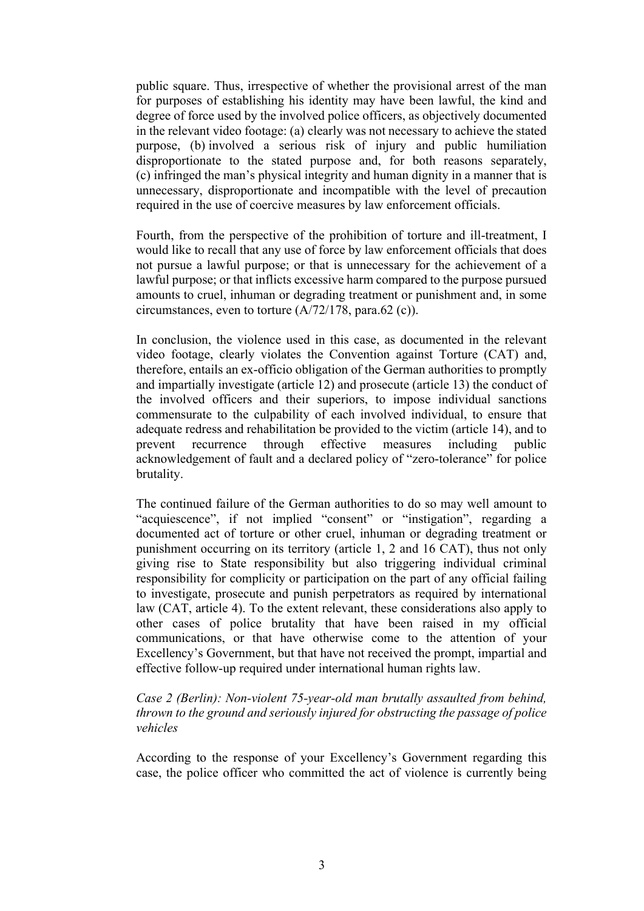public square. Thus, irrespective of whether the provisional arrest of the man for purposes of establishing his identity may have been lawful, the kind and degree of force used by the involved police officers, as objectively documented in the relevant video footage: (a) clearly was not necessary to achieve the stated purpose, (b) involved a serious risk of injury and public humiliation disproportionate to the stated purpose and, for both reasons separately, (c) infringed the man's physical integrity and human dignity in a manner that is unnecessary, disproportionate and incompatible with the level of precaution required in the use of coercive measures by law enforcement officials.

Fourth, from the perspective of the prohibition of torture and ill-treatment, I would like to recall that any use of force by law enforcement officials that does not pursue a lawful purpose; or that is unnecessary for the achievement of a lawful purpose; or that inflicts excessive harm compared to the purpose pursued amounts to cruel, inhuman or degrading treatment or punishment and, in some circumstances, even to torture (A/72/178, para.62 (c)).

In conclusion, the violence used in this case, as documented in the relevant video footage, clearly violates the Convention against Torture (CAT) and, therefore, entails an ex-officio obligation of the German authorities to promptly and impartially investigate (article 12) and prosecute (article 13) the conduct of the involved officers and their superiors, to impose individual sanctions commensurate to the culpability of each involved individual, to ensure that adequate redress and rehabilitation be provided to the victim (article 14), and to prevent recurrence through effective measures including public acknowledgement of fault and a declared policy of "zero-tolerance" for police brutality.

The continued failure of the German authorities to do so may well amount to "acquiescence", if not implied "consent" or "instigation", regarding a documented act of torture or other cruel, inhuman or degrading treatment or punishment occurring on its territory (article 1, 2 and 16 CAT), thus not only giving rise to State responsibility but also triggering individual criminal responsibility for complicity or participation on the part of any official failing to investigate, prosecute and punish perpetrators as required by international law (CAT, article 4). To the extent relevant, these considerations also apply to other cases of police brutality that have been raised in my official communications, or that have otherwise come to the attention of your Excellency's Government, but that have not received the prompt, impartial and effective follow-up required under international human rights law.

### *Case 2 (Berlin): Non-violent 75-year-old man brutally assaulted from behind, thrown to the ground and seriously injured for obstructing the passage of police vehicles*

According to the response of your Excellency's Government regarding this case, the police officer who committed the act of violence is currently being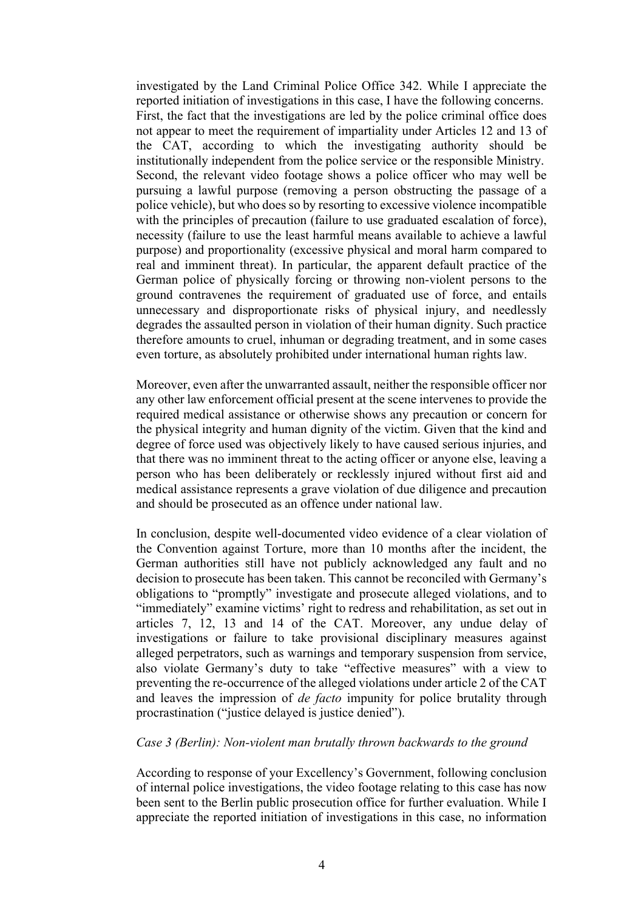investigated by the Land Criminal Police Office 342. While I appreciate the reported initiation of investigations in this case, I have the following concerns. First, the fact that the investigations are led by the police criminal office does not appear to meet the requirement of impartiality under Articles 12 and 13 of the CAT, according to which the investigating authority should be institutionally independent from the police service or the responsible Ministry. Second, the relevant video footage shows a police officer who may well be pursuing a lawful purpose (removing a person obstructing the passage of a police vehicle), but who does so by resorting to excessive violence incompatible with the principles of precaution (failure to use graduated escalation of force), necessity (failure to use the least harmful means available to achieve a lawful purpose) and proportionality (excessive physical and moral harm compared to real and imminent threat). In particular, the apparent default practice of the German police of physically forcing or throwing non-violent persons to the ground contravenes the requirement of graduated use of force, and entails unnecessary and disproportionate risks of physical injury, and needlessly degrades the assaulted person in violation of their human dignity. Such practice therefore amounts to cruel, inhuman or degrading treatment, and in some cases even torture, as absolutely prohibited under international human rights law.

Moreover, even after the unwarranted assault, neither the responsible officer nor any other law enforcement official present at the scene intervenes to provide the required medical assistance or otherwise shows any precaution or concern for the physical integrity and human dignity of the victim. Given that the kind and degree of force used was objectively likely to have caused serious injuries, and that there was no imminent threat to the acting officer or anyone else, leaving a person who has been deliberately or recklessly injured without first aid and medical assistance represents a grave violation of due diligence and precaution and should be prosecuted as an offence under national law.

In conclusion, despite well-documented video evidence of a clear violation of the Convention against Torture, more than 10 months after the incident, the German authorities still have not publicly acknowledged any fault and no decision to prosecute has been taken. This cannot be reconciled with Germany's obligations to "promptly" investigate and prosecute alleged violations, and to "immediately" examine victims' right to redress and rehabilitation, as set out in articles 7, 12, 13 and 14 of the CAT. Moreover, any undue delay of investigations or failure to take provisional disciplinary measures against alleged perpetrators, such as warnings and temporary suspension from service, also violate Germany's duty to take "effective measures" with a view to preventing the re-occurrence of the alleged violations under article 2 of the CAT and leaves the impression of *de facto* impunity for police brutality through procrastination ("justice delayed is justice denied").

#### *Case 3 (Berlin): Non-violent man brutally thrown backwards to the ground*

According to response of your Excellency's Government, following conclusion of internal police investigations, the video footage relating to this case has now been sent to the Berlin public prosecution office for further evaluation. While I appreciate the reported initiation of investigations in this case, no information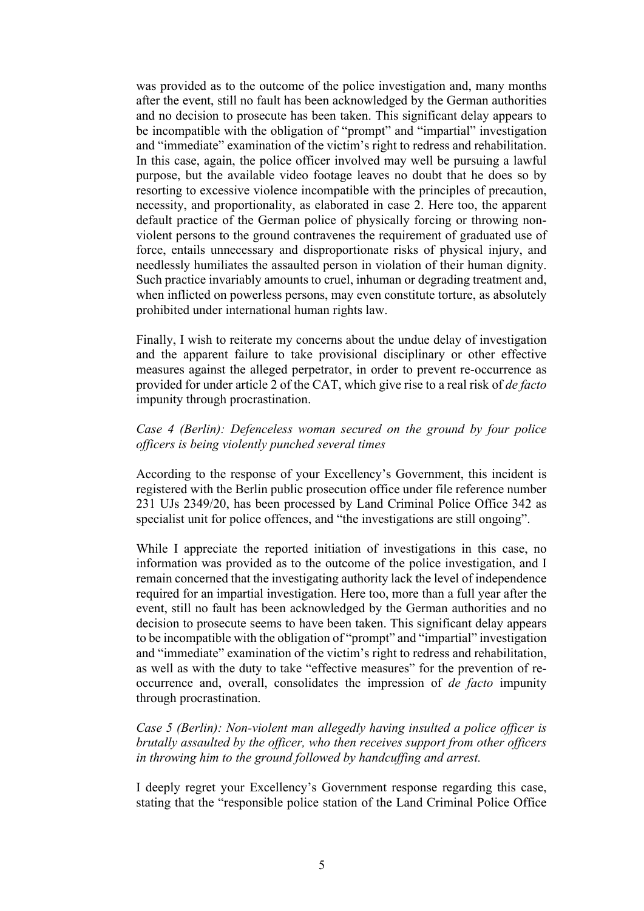was provided as to the outcome of the police investigation and, many months after the event, still no fault has been acknowledged by the German authorities and no decision to prosecute has been taken. This significant delay appears to be incompatible with the obligation of "prompt" and "impartial" investigation and "immediate" examination of the victim's right to redress and rehabilitation. In this case, again, the police officer involved may well be pursuing a lawful purpose, but the available video footage leaves no doubt that he does so by resorting to excessive violence incompatible with the principles of precaution, necessity, and proportionality, as elaborated in case 2. Here too, the apparent default practice of the German police of physically forcing or throwing nonviolent persons to the ground contravenes the requirement of graduated use of force, entails unnecessary and disproportionate risks of physical injury, and needlessly humiliates the assaulted person in violation of their human dignity. Such practice invariably amounts to cruel, inhuman or degrading treatment and, when inflicted on powerless persons, may even constitute torture, as absolutely prohibited under international human rights law.

Finally, I wish to reiterate my concerns about the undue delay of investigation and the apparent failure to take provisional disciplinary or other effective measures against the alleged perpetrator, in order to prevent re-occurrence as provided for under article 2 of the CAT, which give rise to a real risk of *de facto* impunity through procrastination.

# *Case 4 (Berlin): Defenceless woman secured on the ground by four police officers is being violently punched several times*

According to the response of your Excellency's Government, this incident is registered with the Berlin public prosecution office under file reference number 231 UJs 2349/20, has been processed by Land Criminal Police Office 342 as specialist unit for police offences, and "the investigations are still ongoing".

While I appreciate the reported initiation of investigations in this case, no information was provided as to the outcome of the police investigation, and I remain concerned that the investigating authority lack the level of independence required for an impartial investigation. Here too, more than a full year after the event, still no fault has been acknowledged by the German authorities and no decision to prosecute seems to have been taken. This significant delay appears to be incompatible with the obligation of "prompt" and "impartial" investigation and "immediate" examination of the victim's right to redress and rehabilitation, as well as with the duty to take "effective measures" for the prevention of reoccurrence and, overall, consolidates the impression of *de facto* impunity through procrastination.

*Case 5 (Berlin): Non-violent man allegedly having insulted a police officer is brutally assaulted by the officer, who then receives support from other officers in throwing him to the ground followed by handcuffing and arrest.*

I deeply regret your Excellency's Government response regarding this case, stating that the "responsible police station of the Land Criminal Police Office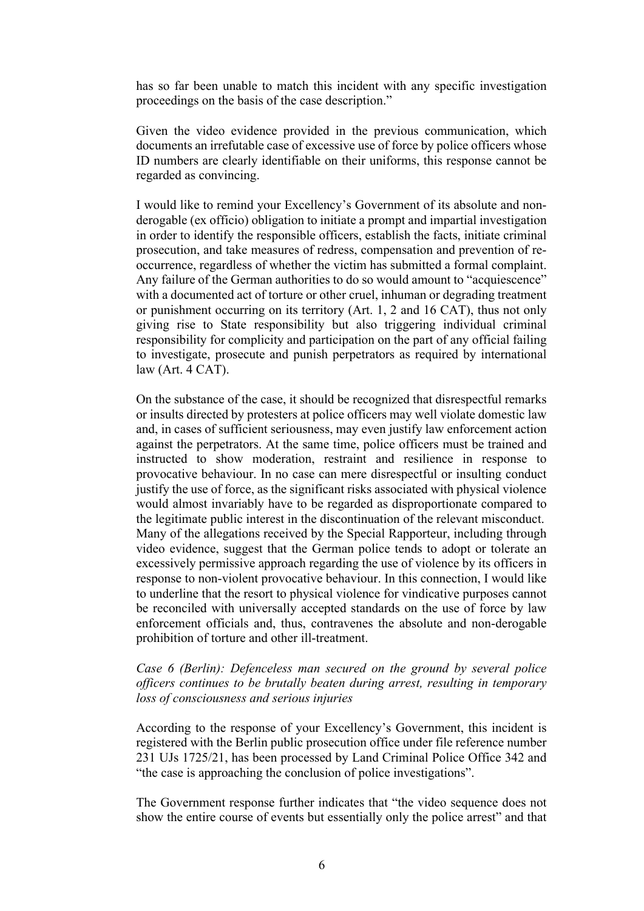has so far been unable to match this incident with any specific investigation proceedings on the basis of the case description."

Given the video evidence provided in the previous communication, which documents an irrefutable case of excessive use of force by police officers whose ID numbers are clearly identifiable on their uniforms, this response cannot be regarded as convincing.

I would like to remind your Excellency's Government of its absolute and nonderogable (ex officio) obligation to initiate a prompt and impartial investigation in order to identify the responsible officers, establish the facts, initiate criminal prosecution, and take measures of redress, compensation and prevention of reoccurrence, regardless of whether the victim has submitted a formal complaint. Any failure of the German authorities to do so would amount to "acquiescence" with a documented act of torture or other cruel, inhuman or degrading treatment or punishment occurring on its territory (Art. 1, 2 and 16 CAT), thus not only giving rise to State responsibility but also triggering individual criminal responsibility for complicity and participation on the part of any official failing to investigate, prosecute and punish perpetrators as required by international law (Art. 4 CAT).

On the substance of the case, it should be recognized that disrespectful remarks or insults directed by protesters at police officers may well violate domestic law and, in cases of sufficient seriousness, may even justify law enforcement action against the perpetrators. At the same time, police officers must be trained and instructed to show moderation, restraint and resilience in response to provocative behaviour. In no case can mere disrespectful or insulting conduct justify the use of force, as the significant risks associated with physical violence would almost invariably have to be regarded as disproportionate compared to the legitimate public interest in the discontinuation of the relevant misconduct. Many of the allegations received by the Special Rapporteur, including through video evidence, suggest that the German police tends to adopt or tolerate an excessively permissive approach regarding the use of violence by its officers in response to non-violent provocative behaviour. In this connection, I would like to underline that the resort to physical violence for vindicative purposes cannot be reconciled with universally accepted standards on the use of force by law enforcement officials and, thus, contravenes the absolute and non-derogable prohibition of torture and other ill-treatment.

# *Case 6 (Berlin): Defenceless man secured on the ground by several police officers continues to be brutally beaten during arrest, resulting in temporary loss of consciousness and serious injuries*

According to the response of your Excellency's Government, this incident is registered with the Berlin public prosecution office under file reference number 231 UJs 1725/21, has been processed by Land Criminal Police Office 342 and "the case is approaching the conclusion of police investigations".

The Government response further indicates that "the video sequence does not show the entire course of events but essentially only the police arrest" and that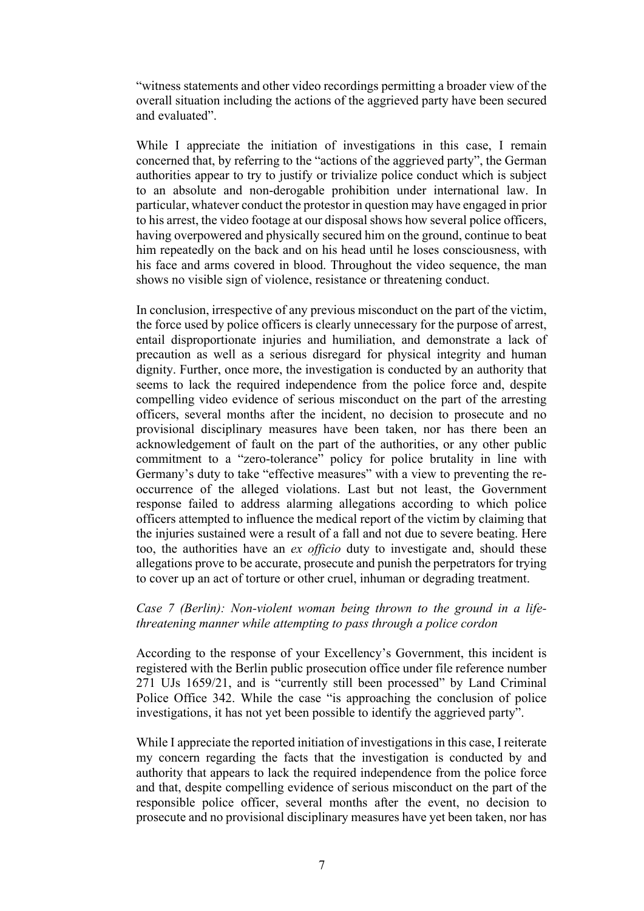"witness statements and other video recordings permitting a broader view of the overall situation including the actions of the aggrieved party have been secured and evaluated".

While I appreciate the initiation of investigations in this case, I remain concerned that, by referring to the "actions of the aggrieved party", the German authorities appear to try to justify or trivialize police conduct which is subject to an absolute and non-derogable prohibition under international law. In particular, whatever conduct the protestor in question may have engaged in prior to his arrest, the video footage at our disposal shows how several police officers, having overpowered and physically secured him on the ground, continue to beat him repeatedly on the back and on his head until he loses consciousness, with his face and arms covered in blood. Throughout the video sequence, the man shows no visible sign of violence, resistance or threatening conduct.

In conclusion, irrespective of any previous misconduct on the part of the victim, the force used by police officers is clearly unnecessary for the purpose of arrest, entail disproportionate injuries and humiliation, and demonstrate a lack of precaution as well as a serious disregard for physical integrity and human dignity. Further, once more, the investigation is conducted by an authority that seems to lack the required independence from the police force and, despite compelling video evidence of serious misconduct on the part of the arresting officers, several months after the incident, no decision to prosecute and no provisional disciplinary measures have been taken, nor has there been an acknowledgement of fault on the part of the authorities, or any other public commitment to a "zero-tolerance" policy for police brutality in line with Germany's duty to take "effective measures" with a view to preventing the reoccurrence of the alleged violations. Last but not least, the Government response failed to address alarming allegations according to which police officers attempted to influence the medical report of the victim by claiming that the injuries sustained were a result of a fall and not due to severe beating. Here too, the authorities have an *ex officio* duty to investigate and, should these allegations prove to be accurate, prosecute and punish the perpetrators for trying to cover up an act of torture or other cruel, inhuman or degrading treatment.

# *Case 7 (Berlin): Non-violent woman being thrown to the ground in a lifethreatening manner while attempting to pass through a police cordon*

According to the response of your Excellency's Government, this incident is registered with the Berlin public prosecution office under file reference number 271 UJs 1659/21, and is "currently still been processed" by Land Criminal Police Office 342. While the case "is approaching the conclusion of police investigations, it has not yet been possible to identify the aggrieved party".

While I appreciate the reported initiation of investigations in this case, I reiterate my concern regarding the facts that the investigation is conducted by and authority that appears to lack the required independence from the police force and that, despite compelling evidence of serious misconduct on the part of the responsible police officer, several months after the event, no decision to prosecute and no provisional disciplinary measures have yet been taken, nor has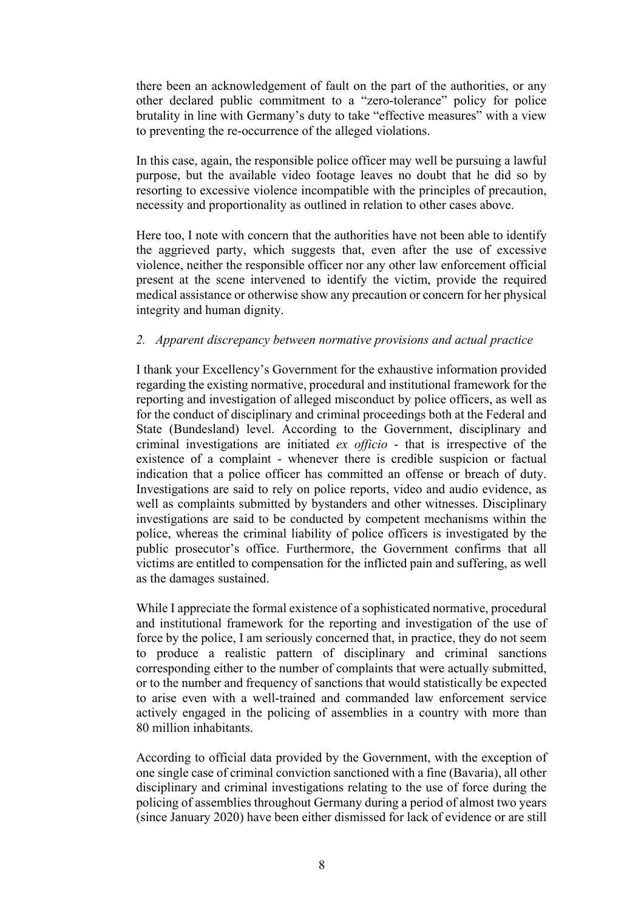there been an acknowledgement of fault on the part of the authorities, or any other declared public commitment to a "zero-tolerance" policy for police brutality in line with Germany's duty to take "effective measures" with a view to preventing the re-occurrence of the alleged violations.

In this case, again, the responsible police officer may well be pursuing a lawful purpose, but the available video footage leaves no doubt that he did so by resorting to excessive violence incompatible with the principles of precaution, necessity and proportionality as outlined in relation to other cases above.

Here too, I note with concern that the authorities have not been able to identify the aggrieved party, which suggests that, even after the use of excessive violence, neither the responsible officer nor any other law enforcement official present at the scene intervened to identify the victim, provide the required medical assistance or otherwise show any precaution or concern for her physical integrity and human dignity.

#### *2. Apparent discrepancy between normative provisions and actual practice*

I thank your Excellency's Government for the exhaustive information provided regarding the existing normative, procedural and institutional framework for the reporting and investigation of alleged misconduct by police officers, as well as for the conduct of disciplinary and criminal proceedings both at the Federal and State (Bundesland) level. According to the Government, disciplinary and criminal investigations are initiated *ex officio* - that is irrespective of the existence of a complaint - whenever there is credible suspicion or factual indication that a police officer has committed an offense or breach of duty. Investigations are said to rely on police reports, video and audio evidence, as well as complaints submitted by bystanders and other witnesses. Disciplinary investigations are said to be conducted by competent mechanisms within the police, whereas the criminal liability of police officers is investigated by the public prosecutor's office. Furthermore, the Government confirms that all victims are entitled to compensation for the inflicted pain and suffering, as well as the damages sustained.

While I appreciate the formal existence of a sophisticated normative, procedural and institutional framework for the reporting and investigation of the use of force by the police, I am seriously concerned that, in practice, they do not seem to produce a realistic pattern of disciplinary and criminal sanctions corresponding either to the number of complaints that were actually submitted, or to the number and frequency of sanctions that would statistically be expected to arise even with a well-trained and commanded law enforcement service actively engaged in the policing of assemblies in a country with more than 80 million inhabitants.

According to official data provided by the Government, with the exception of one single case of criminal conviction sanctioned with a fine (Bavaria), all other disciplinary and criminal investigations relating to the use of force during the policing of assemblies throughout Germany during a period of almost two years (since January 2020) have been either dismissed for lack of evidence or are still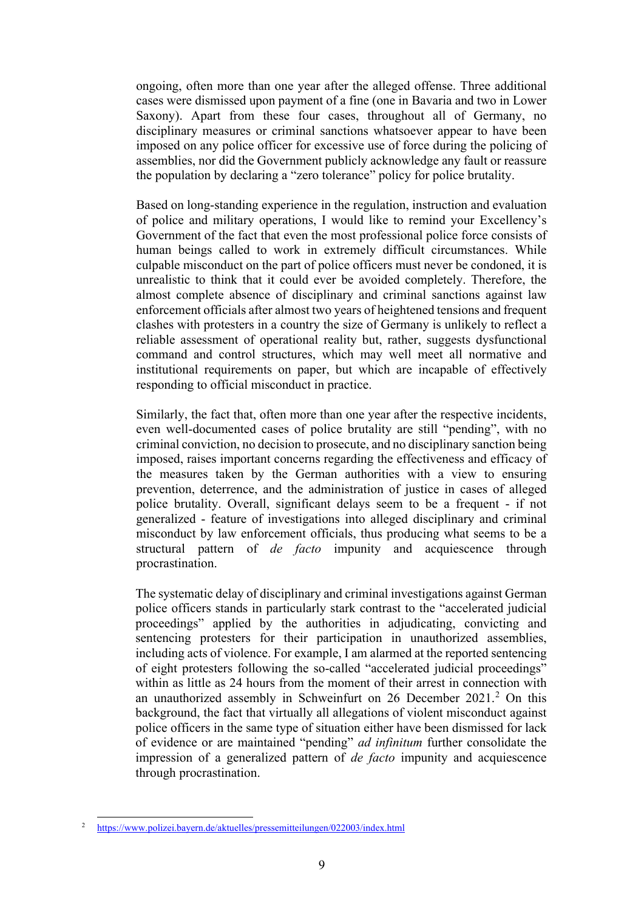ongoing, often more than one year after the alleged offense. Three additional cases were dismissed upon payment of a fine (one in Bavaria and two in Lower Saxony). Apart from these four cases, throughout all of Germany, no disciplinary measures or criminal sanctions whatsoever appear to have been imposed on any police officer for excessive use of force during the policing of assemblies, nor did the Government publicly acknowledge any fault or reassure the population by declaring a "zero tolerance" policy for police brutality.

Based on long-standing experience in the regulation, instruction and evaluation of police and military operations, I would like to remind your Excellency's Government of the fact that even the most professional police force consists of human beings called to work in extremely difficult circumstances. While culpable misconduct on the part of police officers must never be condoned, it is unrealistic to think that it could ever be avoided completely. Therefore, the almost complete absence of disciplinary and criminal sanctions against law enforcement officials after almost two years of heightened tensions and frequent clashes with protesters in a country the size of Germany is unlikely to reflect a reliable assessment of operational reality but, rather, suggests dysfunctional command and control structures, which may well meet all normative and institutional requirements on paper, but which are incapable of effectively responding to official misconduct in practice.

Similarly, the fact that, often more than one year after the respective incidents, even well-documented cases of police brutality are still "pending", with no criminal conviction, no decision to prosecute, and no disciplinary sanction being imposed, raises important concerns regarding the effectiveness and efficacy of the measures taken by the German authorities with a view to ensuring prevention, deterrence, and the administration of justice in cases of alleged police brutality. Overall, significant delays seem to be a frequent - if not generalized - feature of investigations into alleged disciplinary and criminal misconduct by law enforcement officials, thus producing what seems to be a structural pattern of *de facto* impunity and acquiescence through procrastination.

The systematic delay of disciplinary and criminal investigations against German police officers stands in particularly stark contrast to the "accelerated judicial proceedings" applied by the authorities in adjudicating, convicting and sentencing protesters for their participation in unauthorized assemblies, including acts of violence. For example, I am alarmed at the reported sentencing of eight protesters following the so-called "accelerated judicial proceedings" within as little as 24 hours from the moment of their arrest in connection with an unauthorized assembly in Schweinfurt on [2](#page-8-0)6 December  $2021<sup>2</sup>$  On this background, the fact that virtually all allegations of violent misconduct against police officers in the same type of situation either have been dismissed for lack of evidence or are maintained "pending" *ad infinitum* further consolidate the impression of a generalized pattern of *de facto* impunity and acquiescence through procrastination.

<span id="page-8-0"></span><sup>2</sup> <https://www.polizei.bayern.de/aktuelles/pressemitteilungen/022003/index.html>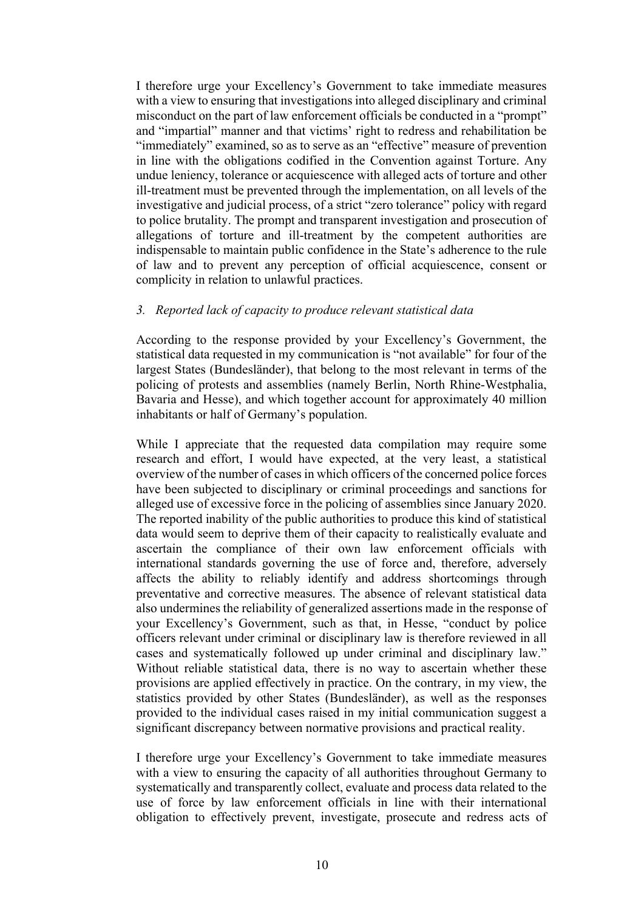I therefore urge your Excellency's Government to take immediate measures with a view to ensuring that investigations into alleged disciplinary and criminal misconduct on the part of law enforcement officials be conducted in a "prompt" and "impartial" manner and that victims' right to redress and rehabilitation be "immediately" examined, so as to serve as an "effective" measure of prevention in line with the obligations codified in the Convention against Torture. Any undue leniency, tolerance or acquiescence with alleged acts of torture and other ill-treatment must be prevented through the implementation, on all levels of the investigative and judicial process, of a strict "zero tolerance" policy with regard to police brutality. The prompt and transparent investigation and prosecution of allegations of torture and ill-treatment by the competent authorities are indispensable to maintain public confidence in the State's adherence to the rule of law and to prevent any perception of official acquiescence, consent or complicity in relation to unlawful practices.

#### *3. Reported lack of capacity to produce relevant statistical data*

According to the response provided by your Excellency's Government, the statistical data requested in my communication is "not available" for four of the largest States (Bundesländer), that belong to the most relevant in terms of the policing of protests and assemblies (namely Berlin, North Rhine-Westphalia, Bavaria and Hesse), and which together account for approximately 40 million inhabitants or half of Germany's population.

While I appreciate that the requested data compilation may require some research and effort, I would have expected, at the very least, a statistical overview of the number of cases in which officers of the concerned police forces have been subjected to disciplinary or criminal proceedings and sanctions for alleged use of excessive force in the policing of assemblies since January 2020. The reported inability of the public authorities to produce this kind of statistical data would seem to deprive them of their capacity to realistically evaluate and ascertain the compliance of their own law enforcement officials with international standards governing the use of force and, therefore, adversely affects the ability to reliably identify and address shortcomings through preventative and corrective measures. The absence of relevant statistical data also undermines the reliability of generalized assertions made in the response of your Excellency's Government, such as that, in Hesse, "conduct by police officers relevant under criminal or disciplinary law is therefore reviewed in all cases and systematically followed up under criminal and disciplinary law." Without reliable statistical data, there is no way to ascertain whether these provisions are applied effectively in practice. On the contrary, in my view, the statistics provided by other States (Bundesländer), as well as the responses provided to the individual cases raised in my initial communication suggest a significant discrepancy between normative provisions and practical reality.

I therefore urge your Excellency's Government to take immediate measures with a view to ensuring the capacity of all authorities throughout Germany to systematically and transparently collect, evaluate and process data related to the use of force by law enforcement officials in line with their international obligation to effectively prevent, investigate, prosecute and redress acts of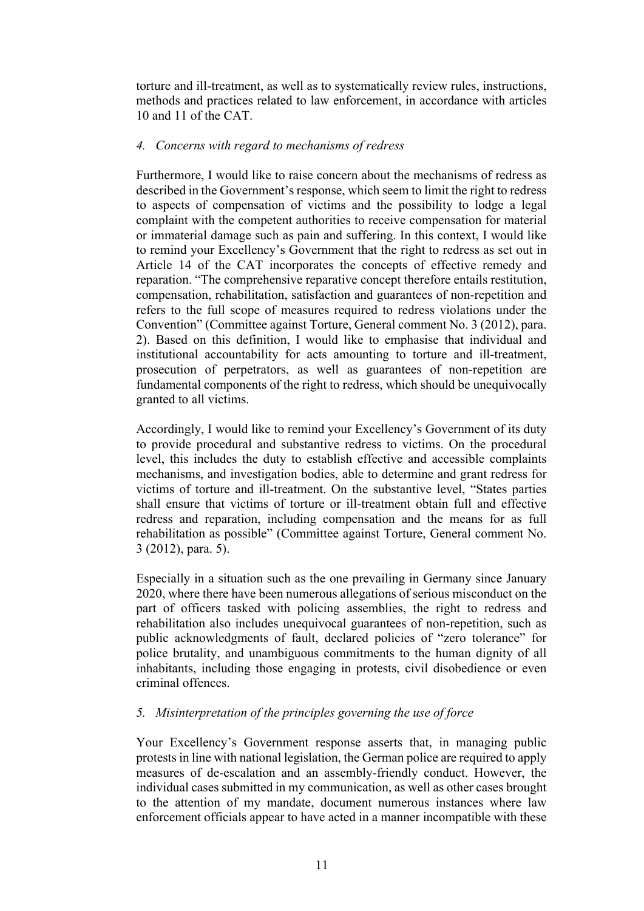torture and ill-treatment, as well as to systematically review rules, instructions, methods and practices related to law enforcement, in accordance with articles 10 and 11 of the CAT.

### *4. Concerns with regard to mechanisms of redress*

Furthermore, I would like to raise concern about the mechanisms of redress as described in the Government's response, which seem to limit the right to redress to aspects of compensation of victims and the possibility to lodge a legal complaint with the competent authorities to receive compensation for material or immaterial damage such as pain and suffering. In this context, I would like to remind your Excellency's Government that the right to redress as set out in Article 14 of the CAT incorporates the concepts of effective remedy and reparation. "The comprehensive reparative concept therefore entails restitution, compensation, rehabilitation, satisfaction and guarantees of non-repetition and refers to the full scope of measures required to redress violations under the Convention" (Committee against Torture, General comment No. 3 (2012), para. 2). Based on this definition, I would like to emphasise that individual and institutional accountability for acts amounting to torture and ill-treatment, prosecution of perpetrators, as well as guarantees of non-repetition are fundamental components of the right to redress, which should be unequivocally granted to all victims.

Accordingly, I would like to remind your Excellency's Government of its duty to provide procedural and substantive redress to victims. On the procedural level, this includes the duty to establish effective and accessible complaints mechanisms, and investigation bodies, able to determine and grant redress for victims of torture and ill-treatment. On the substantive level, "States parties shall ensure that victims of torture or ill-treatment obtain full and effective redress and reparation, including compensation and the means for as full rehabilitation as possible" (Committee against Torture, General comment No. 3 (2012), para. 5).

Especially in a situation such as the one prevailing in Germany since January 2020, where there have been numerous allegations of serious misconduct on the part of officers tasked with policing assemblies, the right to redress and rehabilitation also includes unequivocal guarantees of non-repetition, such as public acknowledgments of fault, declared policies of "zero tolerance" for police brutality, and unambiguous commitments to the human dignity of all inhabitants, including those engaging in protests, civil disobedience or even criminal offences.

### *5. Misinterpretation of the principles governing the use of force*

Your Excellency's Government response asserts that, in managing public protests in line with national legislation, the German police are required to apply measures of de-escalation and an assembly-friendly conduct. However, the individual cases submitted in my communication, as well as other cases brought to the attention of my mandate, document numerous instances where law enforcement officials appear to have acted in a manner incompatible with these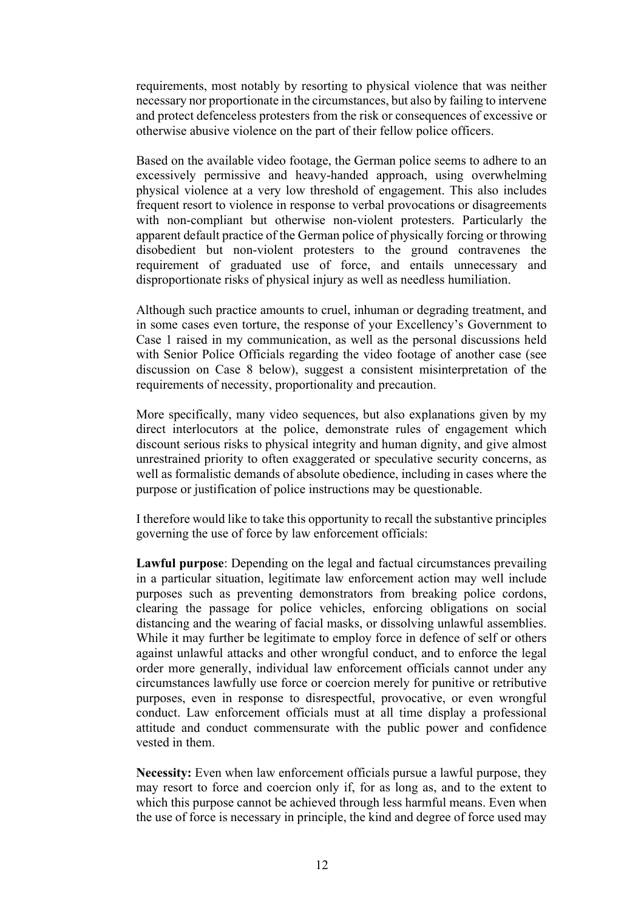requirements, most notably by resorting to physical violence that was neither necessary nor proportionate in the circumstances, but also by failing to intervene and protect defenceless protesters from the risk or consequences of excessive or otherwise abusive violence on the part of their fellow police officers.

Based on the available video footage, the German police seems to adhere to an excessively permissive and heavy-handed approach, using overwhelming physical violence at a very low threshold of engagement. This also includes frequent resort to violence in response to verbal provocations or disagreements with non-compliant but otherwise non-violent protesters. Particularly the apparent default practice of the German police of physically forcing or throwing disobedient but non-violent protesters to the ground contravenes the requirement of graduated use of force, and entails unnecessary and disproportionate risks of physical injury as well as needless humiliation.

Although such practice amounts to cruel, inhuman or degrading treatment, and in some cases even torture, the response of your Excellency's Government to Case 1 raised in my communication, as well as the personal discussions held with Senior Police Officials regarding the video footage of another case (see discussion on Case 8 below), suggest a consistent misinterpretation of the requirements of necessity, proportionality and precaution.

More specifically, many video sequences, but also explanations given by my direct interlocutors at the police, demonstrate rules of engagement which discount serious risks to physical integrity and human dignity, and give almost unrestrained priority to often exaggerated or speculative security concerns, as well as formalistic demands of absolute obedience, including in cases where the purpose or justification of police instructions may be questionable.

I therefore would like to take this opportunity to recall the substantive principles governing the use of force by law enforcement officials:

**Lawful purpose**: Depending on the legal and factual circumstances prevailing in a particular situation, legitimate law enforcement action may well include purposes such as preventing demonstrators from breaking police cordons, clearing the passage for police vehicles, enforcing obligations on social distancing and the wearing of facial masks, or dissolving unlawful assemblies. While it may further be legitimate to employ force in defence of self or others against unlawful attacks and other wrongful conduct, and to enforce the legal order more generally, individual law enforcement officials cannot under any circumstances lawfully use force or coercion merely for punitive or retributive purposes, even in response to disrespectful, provocative, or even wrongful conduct. Law enforcement officials must at all time display a professional attitude and conduct commensurate with the public power and confidence vested in them.

**Necessity:** Even when law enforcement officials pursue a lawful purpose, they may resort to force and coercion only if, for as long as, and to the extent to which this purpose cannot be achieved through less harmful means. Even when the use of force is necessary in principle, the kind and degree of force used may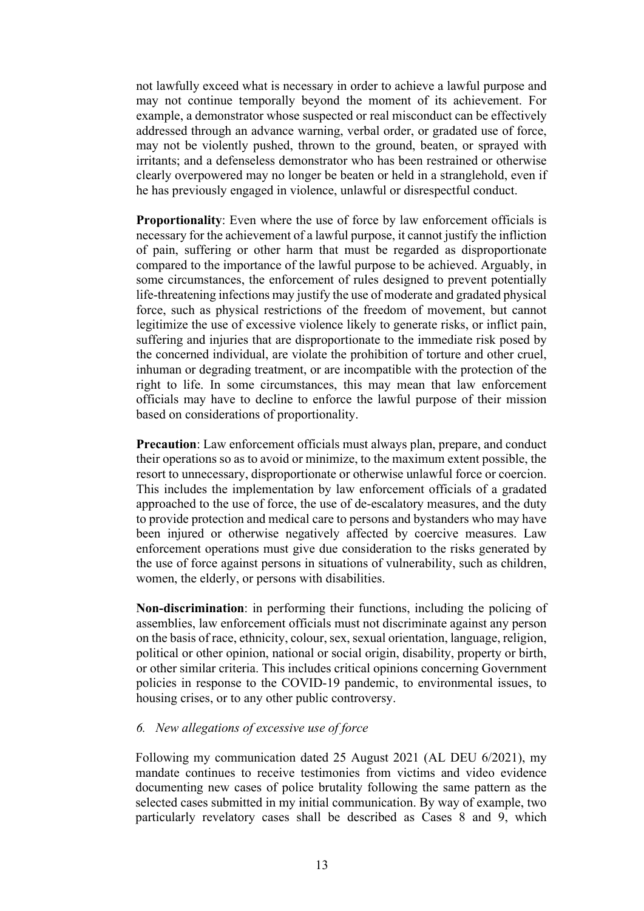not lawfully exceed what is necessary in order to achieve a lawful purpose and may not continue temporally beyond the moment of its achievement. For example, a demonstrator whose suspected or real misconduct can be effectively addressed through an advance warning, verbal order, or gradated use of force, may not be violently pushed, thrown to the ground, beaten, or sprayed with irritants; and a defenseless demonstrator who has been restrained or otherwise clearly overpowered may no longer be beaten or held in a stranglehold, even if he has previously engaged in violence, unlawful or disrespectful conduct.

**Proportionality:** Even where the use of force by law enforcement officials is necessary for the achievement of a lawful purpose, it cannot justify the infliction of pain, suffering or other harm that must be regarded as disproportionate compared to the importance of the lawful purpose to be achieved. Arguably, in some circumstances, the enforcement of rules designed to prevent potentially life-threatening infections may justify the use of moderate and gradated physical force, such as physical restrictions of the freedom of movement, but cannot legitimize the use of excessive violence likely to generate risks, or inflict pain, suffering and injuries that are disproportionate to the immediate risk posed by the concerned individual, are violate the prohibition of torture and other cruel, inhuman or degrading treatment, or are incompatible with the protection of the right to life. In some circumstances, this may mean that law enforcement officials may have to decline to enforce the lawful purpose of their mission based on considerations of proportionality.

**Precaution**: Law enforcement officials must always plan, prepare, and conduct their operations so as to avoid or minimize, to the maximum extent possible, the resort to unnecessary, disproportionate or otherwise unlawful force or coercion. This includes the implementation by law enforcement officials of a gradated approached to the use of force, the use of de-escalatory measures, and the duty to provide protection and medical care to persons and bystanders who may have been injured or otherwise negatively affected by coercive measures. Law enforcement operations must give due consideration to the risks generated by the use of force against persons in situations of vulnerability, such as children, women, the elderly, or persons with disabilities.

**Non-discrimination**: in performing their functions, including the policing of assemblies, law enforcement officials must not discriminate against any person on the basis of race, ethnicity, colour, sex, sexual orientation, language, religion, political or other opinion, national or social origin, disability, property or birth, or other similar criteria. This includes critical opinions concerning Government policies in response to the COVID-19 pandemic, to environmental issues, to housing crises, or to any other public controversy.

#### *6. New allegations of excessive use of force*

Following my communication dated 25 August 2021 (AL DEU 6/2021), my mandate continues to receive testimonies from victims and video evidence documenting new cases of police brutality following the same pattern as the selected cases submitted in my initial communication. By way of example, two particularly revelatory cases shall be described as Cases 8 and 9, which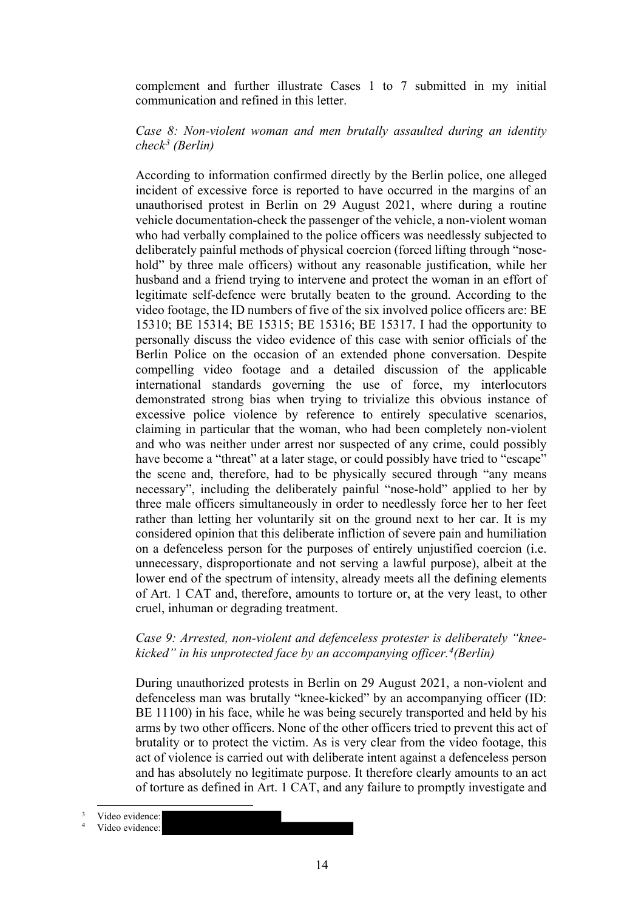complement and further illustrate Cases 1 to 7 submitted in my initial communication and refined in this letter.

### *Case 8: Non-violent woman and men brutally assaulted during an identity check[3](#page-13-0) (Berlin)*

According to information confirmed directly by the Berlin police, one alleged incident of excessive force is reported to have occurred in the margins of an unauthorised protest in Berlin on 29 August 2021, where during a routine vehicle documentation-check the passenger of the vehicle, a non-violent woman who had verbally complained to the police officers was needlessly subjected to deliberately painful methods of physical coercion (forced lifting through "nosehold" by three male officers) without any reasonable justification, while her husband and a friend trying to intervene and protect the woman in an effort of legitimate self-defence were brutally beaten to the ground. According to the video footage, the ID numbers of five of the six involved police officers are: BE 15310; BE 15314; BE 15315; BE 15316; BE 15317. I had the opportunity to personally discuss the video evidence of this case with senior officials of the Berlin Police on the occasion of an extended phone conversation. Despite compelling video footage and a detailed discussion of the applicable international standards governing the use of force, my interlocutors demonstrated strong bias when trying to trivialize this obvious instance of excessive police violence by reference to entirely speculative scenarios, claiming in particular that the woman, who had been completely non-violent and who was neither under arrest nor suspected of any crime, could possibly have become a "threat" at a later stage, or could possibly have tried to "escape" the scene and, therefore, had to be physically secured through "any means necessary", including the deliberately painful "nose-hold" applied to her by three male officers simultaneously in order to needlessly force her to her feet rather than letting her voluntarily sit on the ground next to her car. It is my considered opinion that this deliberate infliction of severe pain and humiliation on a defenceless person for the purposes of entirely unjustified coercion (i.e. unnecessary, disproportionate and not serving a lawful purpose), albeit at the lower end of the spectrum of intensity, already meets all the defining elements of Art. 1 CAT and, therefore, amounts to torture or, at the very least, to other cruel, inhuman or degrading treatment.

### *Case 9: Arrested, non-violent and defenceless protester is deliberately "kneekicked" in his unprotected face by an accompanying officer.[4](#page-13-1) (Berlin)*

During unauthorized protests in Berlin on 29 August 2021, a non-violent and defenceless man was brutally "knee-kicked" by an accompanying officer (ID: BE 11100) in his face, while he was being securely transported and held by his arms by two other officers. None of the other officers tried to prevent this act of brutality or to protect the victim. As is very clear from the video footage, this act of violence is carried out with deliberate intent against a defenceless person and has absolutely no legitimate purpose. It therefore clearly amounts to an act of torture as defined in Art. 1 CAT, and any failure to promptly investigate and

<span id="page-13-0"></span>Video evidence:<br>Video evidence:

<span id="page-13-1"></span>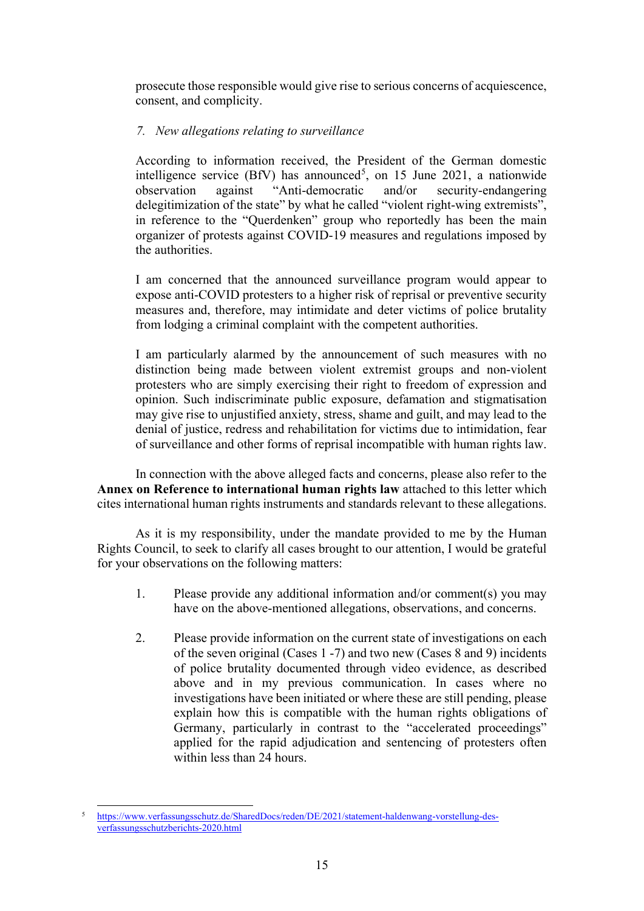prosecute those responsible would give rise to serious concerns of acquiescence, consent, and complicity.

# *7. New allegations relating to surveillance*

According to information received, the President of the German domestic intelligence service (BfV) has announced<sup>[5](#page-14-0)</sup>, on 15 June 2021, a nationwide observation against "Anti-democratic and/or security-endangering delegitimization of the state" by what he called "violent right-wing extremists", in reference to the "Querdenken" group who reportedly has been the main organizer of protests against COVID-19 measures and regulations imposed by the authorities.

I am concerned that the announced surveillance program would appear to expose anti-COVID protesters to a higher risk of reprisal or preventive security measures and, therefore, may intimidate and deter victims of police brutality from lodging a criminal complaint with the competent authorities.

I am particularly alarmed by the announcement of such measures with no distinction being made between violent extremist groups and non-violent protesters who are simply exercising their right to freedom of expression and opinion. Such indiscriminate public exposure, defamation and stigmatisation may give rise to unjustified anxiety, stress, shame and guilt, and may lead to the denial of justice, redress and rehabilitation for victims due to intimidation, fear of surveillance and other forms of reprisal incompatible with human rights law.

In connection with the above alleged facts and concerns, please also refer to the **Annex on Reference to international human rights law** attached to this letter which cites international human rights instruments and standards relevant to these allegations.

As it is my responsibility, under the mandate provided to me by the Human Rights Council, to seek to clarify all cases brought to our attention, I would be grateful for your observations on the following matters:

- 1. Please provide any additional information and/or comment(s) you may have on the above-mentioned allegations, observations, and concerns.
- 2. Please provide information on the current state of investigations on each of the seven original (Cases 1 -7) and two new (Cases 8 and 9) incidents of police brutality documented through video evidence, as described above and in my previous communication. In cases where no investigations have been initiated or where these are still pending, please explain how this is compatible with the human rights obligations of Germany, particularly in contrast to the "accelerated proceedings" applied for the rapid adjudication and sentencing of protesters often within less than 24 hours.

<span id="page-14-0"></span><sup>5</sup> [https://www.verfassungsschutz.de/SharedDocs/reden/DE/2021/statement-haldenwang-vorstellung-des](https://www.verfassungsschutz.de/SharedDocs/reden/DE/2021/statement-haldenwang-vorstellung-des-verfassungsschutzberichts-2020.html)[verfassungsschutzberichts-2020.html](https://www.verfassungsschutz.de/SharedDocs/reden/DE/2021/statement-haldenwang-vorstellung-des-verfassungsschutzberichts-2020.html)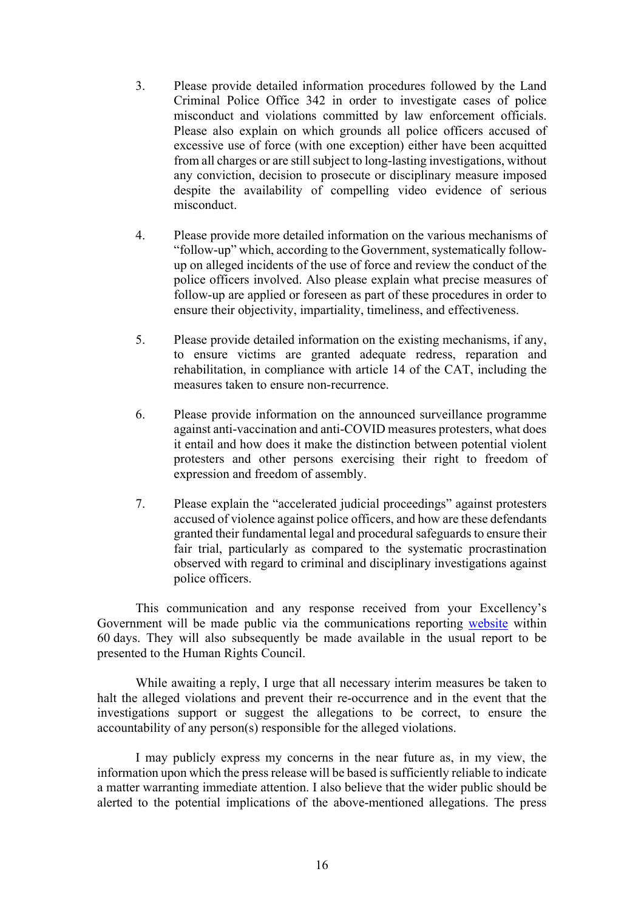- 3. Please provide detailed information procedures followed by the Land Criminal Police Office 342 in order to investigate cases of police misconduct and violations committed by law enforcement officials. Please also explain on which grounds all police officers accused of excessive use of force (with one exception) either have been acquitted from all charges or are still subject to long-lasting investigations, without any conviction, decision to prosecute or disciplinary measure imposed despite the availability of compelling video evidence of serious misconduct.
- 4. Please provide more detailed information on the various mechanisms of "follow-up" which, according to the Government, systematically followup on alleged incidents of the use of force and review the conduct of the police officers involved. Also please explain what precise measures of follow-up are applied or foreseen as part of these procedures in order to ensure their objectivity, impartiality, timeliness, and effectiveness.
- 5. Please provide detailed information on the existing mechanisms, if any, to ensure victims are granted adequate redress, reparation and rehabilitation, in compliance with article 14 of the CAT, including the measures taken to ensure non-recurrence.
- 6. Please provide information on the announced surveillance programme against anti-vaccination and anti-COVID measures protesters, what does it entail and how does it make the distinction between potential violent protesters and other persons exercising their right to freedom of expression and freedom of assembly.
- 7. Please explain the "accelerated judicial proceedings" against protesters accused of violence against police officers, and how are these defendants granted their fundamental legal and procedural safeguards to ensure their fair trial, particularly as compared to the systematic procrastination observed with regard to criminal and disciplinary investigations against police officers.

This communication and any response received from your Excellency's Government will be made public via the communications reporting [website](https://spcommreports.ohchr.org/) within 60 days. They will also subsequently be made available in the usual report to be presented to the Human Rights Council.

While awaiting a reply, I urge that all necessary interim measures be taken to halt the alleged violations and prevent their re-occurrence and in the event that the investigations support or suggest the allegations to be correct, to ensure the accountability of any person(s) responsible for the alleged violations.

I may publicly express my concerns in the near future as, in my view, the information upon which the press release will be based is sufficiently reliable to indicate a matter warranting immediate attention. I also believe that the wider public should be alerted to the potential implications of the above-mentioned allegations. The press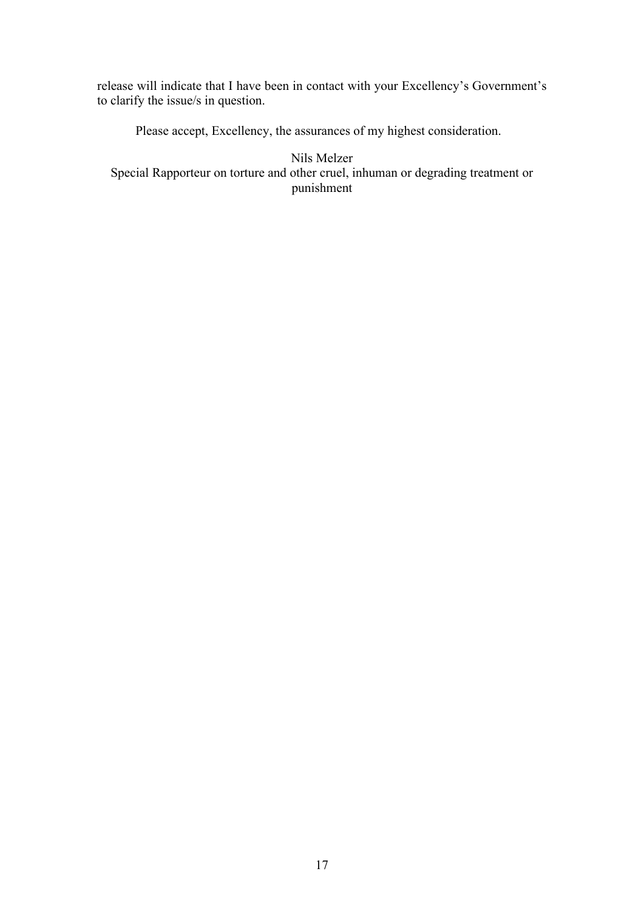release will indicate that I have been in contact with your Excellency's Government's to clarify the issue/s in question.

Please accept, Excellency, the assurances of my highest consideration.

Nils Melzer Special Rapporteur on torture and other cruel, inhuman or degrading treatment or punishment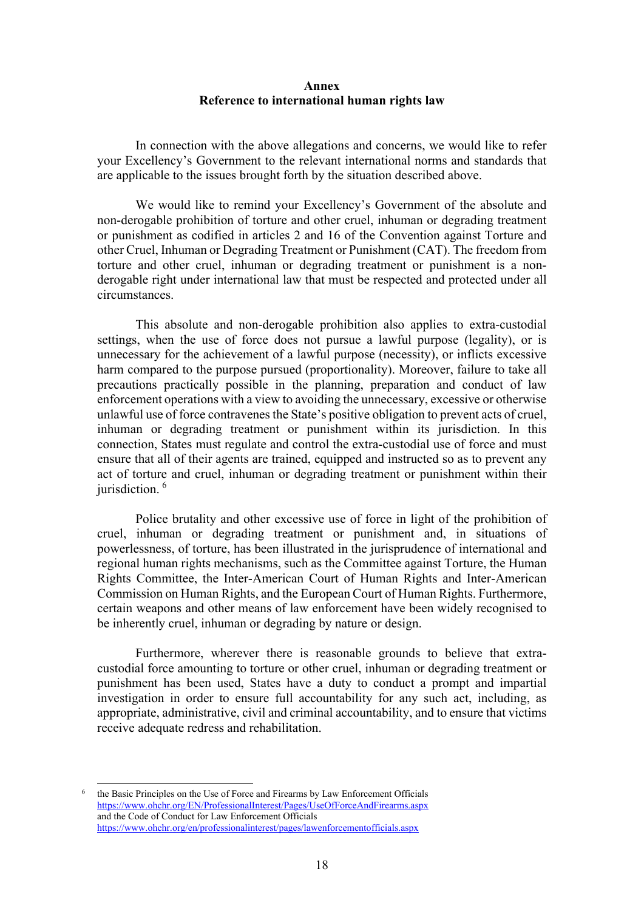#### **Annex Reference to international human rights law**

In connection with the above allegations and concerns, we would like to refer your Excellency's Government to the relevant international norms and standards that are applicable to the issues brought forth by the situation described above.

We would like to remind your Excellency's Government of the absolute and non-derogable prohibition of torture and other cruel, inhuman or degrading treatment or punishment as codified in articles 2 and 16 of the Convention against Torture and other Cruel, Inhuman or Degrading Treatment or Punishment (CAT). The freedom from torture and other cruel, inhuman or degrading treatment or punishment is a nonderogable right under international law that must be respected and protected under all circumstances.

This absolute and non-derogable prohibition also applies to extra-custodial settings, when the use of force does not pursue a lawful purpose (legality), or is unnecessary for the achievement of a lawful purpose (necessity), or inflicts excessive harm compared to the purpose pursued (proportionality). Moreover, failure to take all precautions practically possible in the planning, preparation and conduct of law enforcement operations with a view to avoiding the unnecessary, excessive or otherwise unlawful use of force contravenes the State's positive obligation to prevent acts of cruel, inhuman or degrading treatment or punishment within its jurisdiction. In this connection, States must regulate and control the extra-custodial use of force and must ensure that all of their agents are trained, equipped and instructed so as to prevent any act of torture and cruel, inhuman or degrading treatment or punishment within their jurisdiction.<sup>[6](#page-17-0)</sup>

Police brutality and other excessive use of force in light of the prohibition of cruel, inhuman or degrading treatment or punishment and, in situations of powerlessness, of torture, has been illustrated in the jurisprudence of international and regional human rights mechanisms, such as the Committee against Torture, the Human Rights Committee, the Inter-American Court of Human Rights and Inter-American Commission on Human Rights, and the European Court of Human Rights. Furthermore, certain weapons and other means of law enforcement have been widely recognised to be inherently cruel, inhuman or degrading by nature or design.

Furthermore, wherever there is reasonable grounds to believe that extracustodial force amounting to torture or other cruel, inhuman or degrading treatment or punishment has been used, States have a duty to conduct a prompt and impartial investigation in order to ensure full accountability for any such act, including, as appropriate, administrative, civil and criminal accountability, and to ensure that victims receive adequate redress and rehabilitation.

<span id="page-17-0"></span><sup>6</sup> the Basic Principles on the Use of Force and Firearms by Law Enforcement Officials <https://www.ohchr.org/EN/ProfessionalInterest/Pages/UseOfForceAndFirearms.aspx> and the Code of Conduct for Law Enforcement Officials <https://www.ohchr.org/en/professionalinterest/pages/lawenforcementofficials.aspx>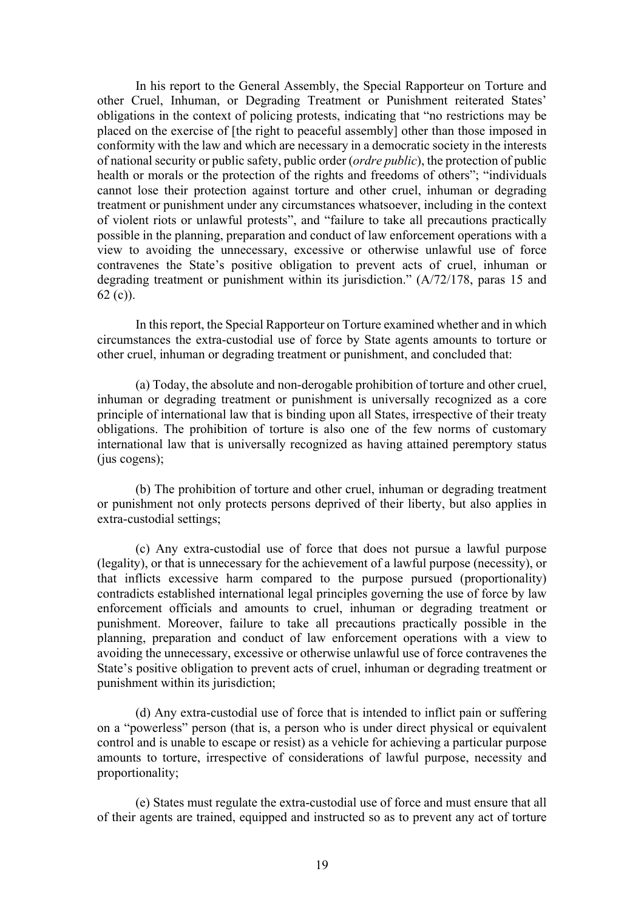In his report to the General Assembly, the Special Rapporteur on Torture and other Cruel, Inhuman, or Degrading Treatment or Punishment reiterated States' obligations in the context of policing protests, indicating that "no restrictions may be placed on the exercise of [the right to peaceful assembly] other than those imposed in conformity with the law and which are necessary in a democratic society in the interests of national security or public safety, public order (*ordre public*), the protection of public health or morals or the protection of the rights and freedoms of others"; "individuals" cannot lose their protection against torture and other cruel, inhuman or degrading treatment or punishment under any circumstances whatsoever, including in the context of violent riots or unlawful protests", and "failure to take all precautions practically possible in the planning, preparation and conduct of law enforcement operations with a view to avoiding the unnecessary, excessive or otherwise unlawful use of force contravenes the State's positive obligation to prevent acts of cruel, inhuman or degrading treatment or punishment within its jurisdiction." (A/72/178, paras 15 and 62 (c)).

In this report, the Special Rapporteur on Torture examined whether and in which circumstances the extra-custodial use of force by State agents amounts to torture or other cruel, inhuman or degrading treatment or punishment, and concluded that:

(a) Today, the absolute and non-derogable prohibition of torture and other cruel, inhuman or degrading treatment or punishment is universally recognized as a core principle of international law that is binding upon all States, irrespective of their treaty obligations. The prohibition of torture is also one of the few norms of customary international law that is universally recognized as having attained peremptory status (jus cogens);

(b) The prohibition of torture and other cruel, inhuman or degrading treatment or punishment not only protects persons deprived of their liberty, but also applies in extra-custodial settings;

(c) Any extra-custodial use of force that does not pursue a lawful purpose (legality), or that is unnecessary for the achievement of a lawful purpose (necessity), or that inflicts excessive harm compared to the purpose pursued (proportionality) contradicts established international legal principles governing the use of force by law enforcement officials and amounts to cruel, inhuman or degrading treatment or punishment. Moreover, failure to take all precautions practically possible in the planning, preparation and conduct of law enforcement operations with a view to avoiding the unnecessary, excessive or otherwise unlawful use of force contravenes the State's positive obligation to prevent acts of cruel, inhuman or degrading treatment or punishment within its jurisdiction;

(d) Any extra-custodial use of force that is intended to inflict pain or suffering on a "powerless" person (that is, a person who is under direct physical or equivalent control and is unable to escape or resist) as a vehicle for achieving a particular purpose amounts to torture, irrespective of considerations of lawful purpose, necessity and proportionality;

(e) States must regulate the extra-custodial use of force and must ensure that all of their agents are trained, equipped and instructed so as to prevent any act of torture